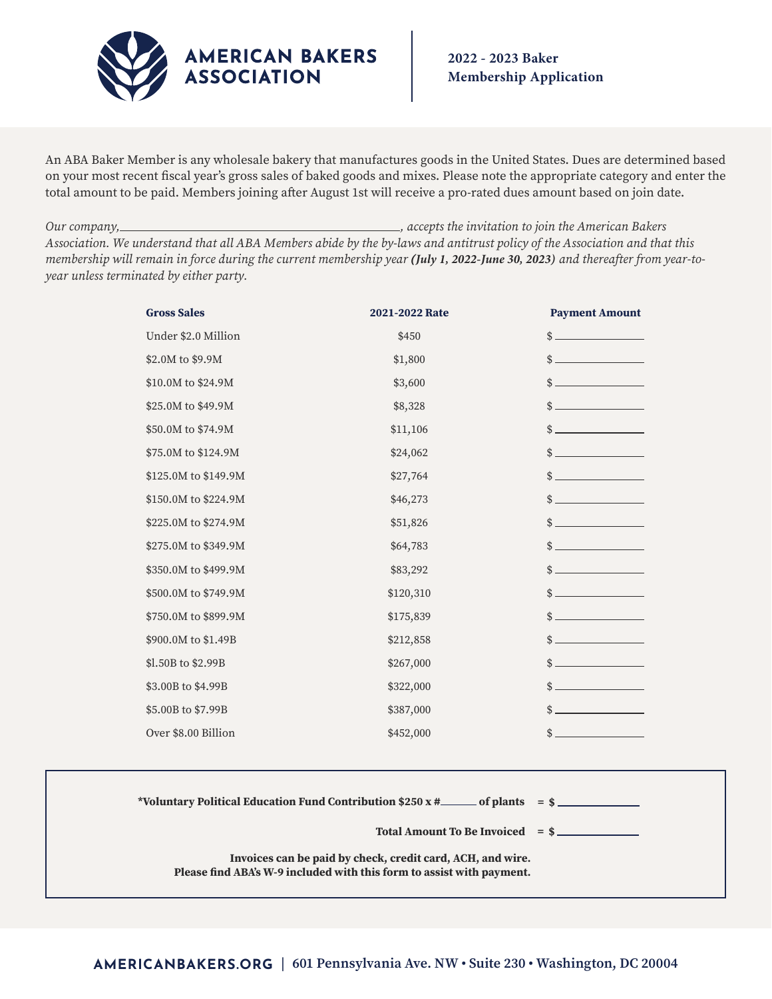

An ABA Baker Member is any wholesale bakery that manufactures goods in the United States. Dues are determined based on your most recent fiscal year's gross sales of baked goods and mixes. Please note the appropriate category and enter the total amount to be paid. Members joining after August 1st will receive a pro-rated dues amount based on join date.

*Our company, , accepts the invitation to join the American Bakers Association. We understand that all ABA Members abide by the by-laws and antitrust policy of the Association and that this membership will remain in force during the current membership year* **(***July 1, 2022-June 30, 2023) and thereafter from year-toyear unless terminated by either party.*

| <b>Gross Sales</b>   | 2021-2022 Rate                                                             | <b>Payment Amount</b>       |
|----------------------|----------------------------------------------------------------------------|-----------------------------|
| Under \$2.0 Million  | \$450                                                                      |                             |
| \$2.0M to \$9.9M     | \$1,800                                                                    | $\frac{1}{2}$               |
| \$10.0M to \$24.9M   | \$3,600                                                                    | $\frac{1}{2}$               |
| \$25.0M to \$49.9M   | \$8,328                                                                    | $\frac{\text{S}}{\text{S}}$ |
| \$50.0M to \$74.9M   | \$11,106                                                                   | $\frac{1}{2}$               |
| \$75.0M to \$124.9M  | \$24,062                                                                   | $\frac{1}{2}$               |
| \$125.0M to \$149.9M | \$27,764                                                                   | $\frac{1}{2}$               |
| \$150.0M to \$224.9M | \$46,273                                                                   | $\frac{1}{2}$               |
| \$225.0M to \$274.9M | \$51,826                                                                   | $\frac{1}{2}$               |
| \$275.0M to \$349.9M | \$64,783                                                                   | $\frac{1}{2}$               |
| \$350.0M to \$499.9M | \$83,292                                                                   | $\frac{1}{2}$               |
| \$500.0M to \$749.9M | \$120,310                                                                  | $\frac{\text{S}}{\text{S}}$ |
| \$750.0M to \$899.9M | \$175,839                                                                  | $\frac{1}{2}$               |
| \$900.0M to \$1.49B  | \$212,858                                                                  | $\frac{1}{2}$               |
| \$1.50B to \$2.99B   | \$267,000                                                                  |                             |
| \$3.00B to \$4.99B   | \$322,000                                                                  | $\frac{1}{2}$               |
| \$5.00B to \$7.99B   | \$387,000                                                                  | $\frac{1}{2}$               |
| Over \$8.00 Billion  | \$452,000                                                                  | $\frac{1}{2}$               |
|                      |                                                                            |                             |
|                      | *Voluntary Political Education Fund Contribution \$250 x #______ of plants | $=$ \$                      |
|                      | <b>Total Amount To Be Invoiced</b>                                         | $=$ \$                      |

**Invoices can be paid by check, credit card, ACH, and wire. Please find ABA's W-9 included with this form to assist with payment.**